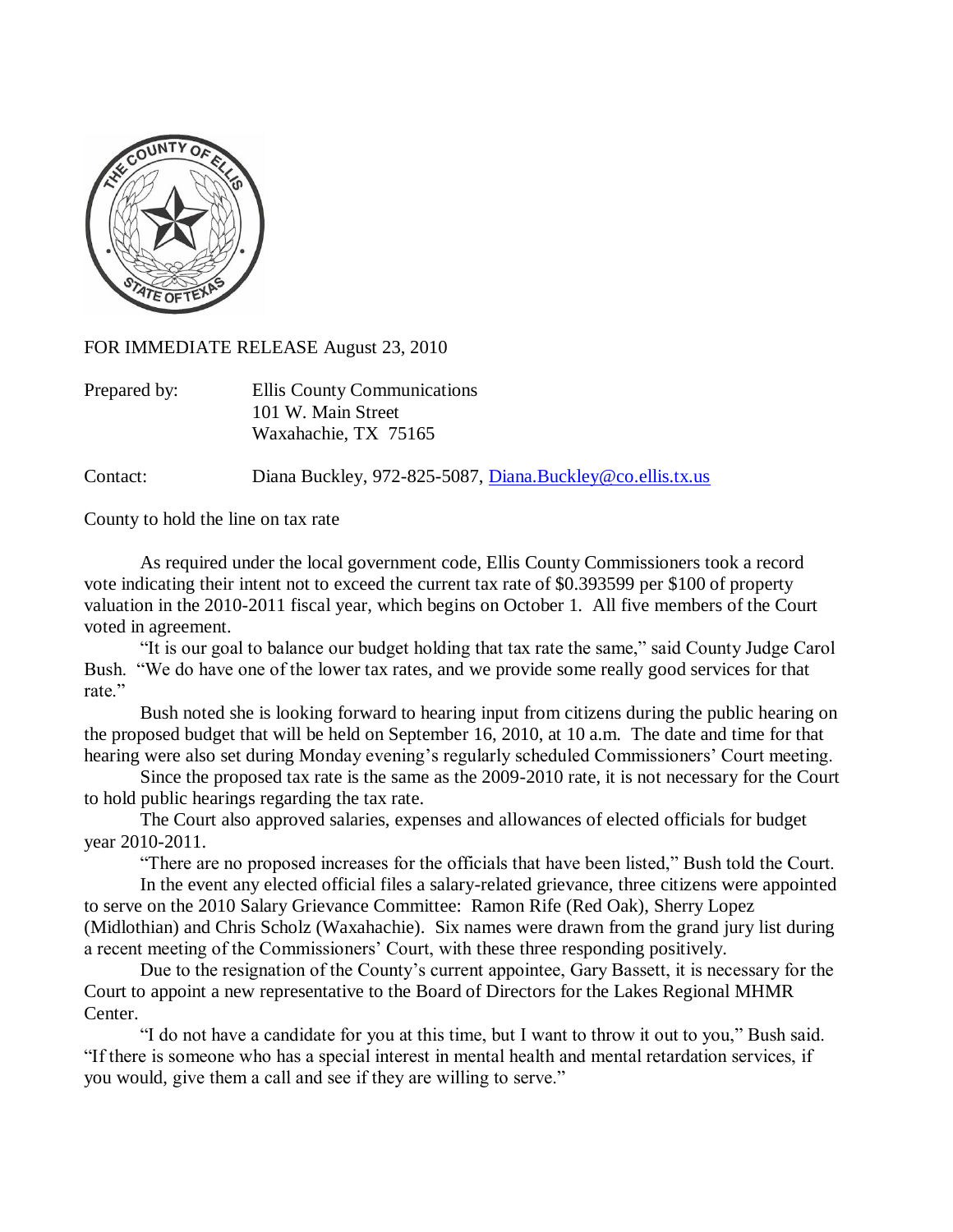

FOR IMMEDIATE RELEASE August 23, 2010

| Prepared by: | Ellis County Communications |
|--------------|-----------------------------|
|              | 101 W. Main Street          |
|              | Waxahachie, TX 75165        |

Contact: Diana Buckley, 972-825-5087, [Diana.Buckley@co.ellis.tx.us](mailto:Diana.Buckley@co.ellis.tx.us)

County to hold the line on tax rate

As required under the local government code, Ellis County Commissioners took a record vote indicating their intent not to exceed the current tax rate of \$0.393599 per \$100 of property valuation in the 2010-2011 fiscal year, which begins on October 1. All five members of the Court voted in agreement.

"It is our goal to balance our budget holding that tax rate the same," said County Judge Carol Bush. "We do have one of the lower tax rates, and we provide some really good services for that rate."

Bush noted she is looking forward to hearing input from citizens during the public hearing on the proposed budget that will be held on September 16, 2010, at 10 a.m. The date and time for that hearing were also set during Monday evening's regularly scheduled Commissioners' Court meeting.

Since the proposed tax rate is the same as the 2009-2010 rate, it is not necessary for the Court to hold public hearings regarding the tax rate.

The Court also approved salaries, expenses and allowances of elected officials for budget year 2010-2011.

"There are no proposed increases for the officials that have been listed," Bush told the Court.

In the event any elected official files a salary-related grievance, three citizens were appointed to serve on the 2010 Salary Grievance Committee: Ramon Rife (Red Oak), Sherry Lopez (Midlothian) and Chris Scholz (Waxahachie). Six names were drawn from the grand jury list during a recent meeting of the Commissioners' Court, with these three responding positively.

Due to the resignation of the County's current appointee, Gary Bassett, it is necessary for the Court to appoint a new representative to the Board of Directors for the Lakes Regional MHMR Center.

"I do not have a candidate for you at this time, but I want to throw it out to you," Bush said. "If there is someone who has a special interest in mental health and mental retardation services, if you would, give them a call and see if they are willing to serve."